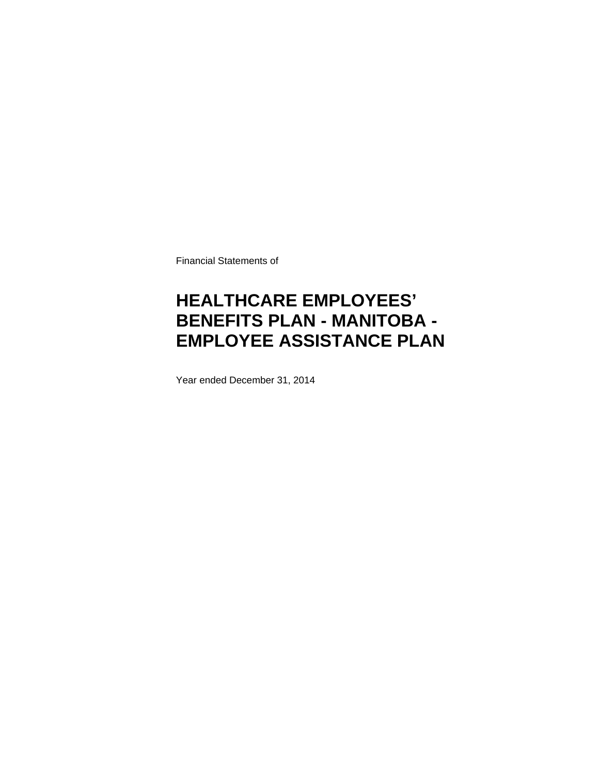Financial Statements of

# **HEALTHCARE EMPLOYEES' BENEFITS PLAN - MANITOBA - EMPLOYEE ASSISTANCE PLAN**

Year ended December 31, 2014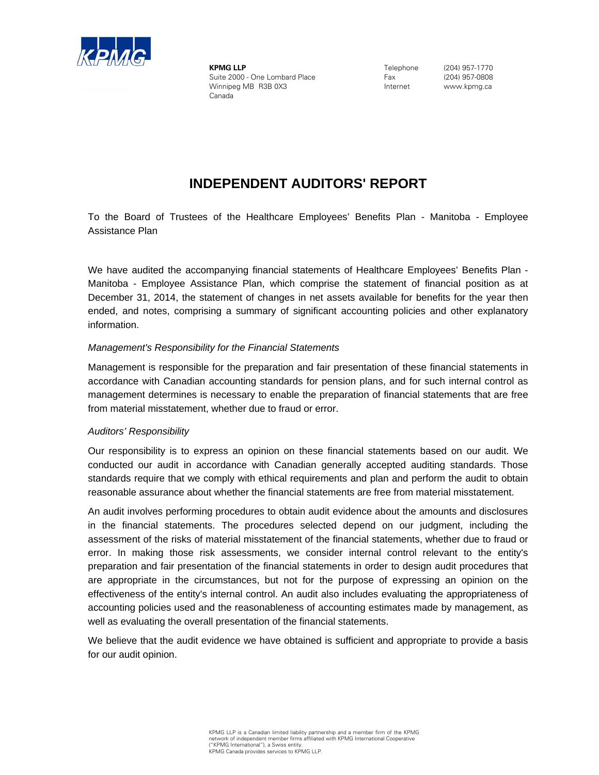

**KPMG LLP** Suite 2000 - One Lombard Place Winnipeg MB R3B 0X3 Canada

Telephone Fax Internet

(204) 957-1770 (204) 957-0808 www.kpmg.ca

### **INDEPENDENT AUDITORS' REPORT**

To the Board of Trustees of the Healthcare Employees' Benefits Plan - Manitoba - Employee Assistance Plan

We have audited the accompanying financial statements of Healthcare Employees' Benefits Plan - Manitoba - Employee Assistance Plan, which comprise the statement of financial position as at December 31, 2014, the statement of changes in net assets available for benefits for the year then ended, and notes, comprising a summary of significant accounting policies and other explanatory information.

### *Management's Responsibility for the Financial Statements*

Management is responsible for the preparation and fair presentation of these financial statements in accordance with Canadian accounting standards for pension plans, and for such internal control as management determines is necessary to enable the preparation of financial statements that are free from material misstatement, whether due to fraud or error.

#### *Auditors' Responsibility*

Our responsibility is to express an opinion on these financial statements based on our audit. We conducted our audit in accordance with Canadian generally accepted auditing standards. Those standards require that we comply with ethical requirements and plan and perform the audit to obtain reasonable assurance about whether the financial statements are free from material misstatement.

An audit involves performing procedures to obtain audit evidence about the amounts and disclosures in the financial statements. The procedures selected depend on our judgment, including the assessment of the risks of material misstatement of the financial statements, whether due to fraud or error. In making those risk assessments, we consider internal control relevant to the entity's preparation and fair presentation of the financial statements in order to design audit procedures that are appropriate in the circumstances, but not for the purpose of expressing an opinion on the effectiveness of the entity's internal control. An audit also includes evaluating the appropriateness of accounting policies used and the reasonableness of accounting estimates made by management, as well as evaluating the overall presentation of the financial statements.

We believe that the audit evidence we have obtained is sufficient and appropriate to provide a basis for our audit opinion.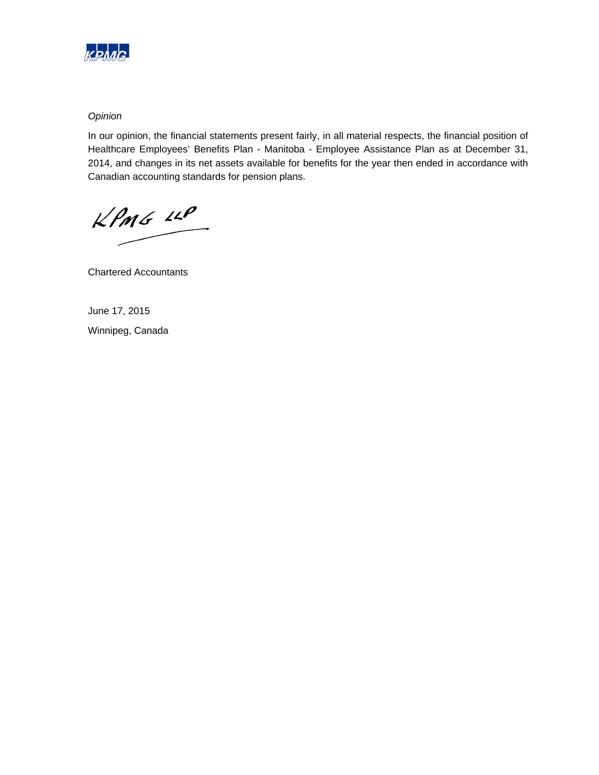

### *Opinion*

In our opinion, the financial statements present fairly, in all material respects, the financial position of Healthcare Employees' Benefits Plan - Manitoba - Employee Assistance Plan as at December 31, 2014, and changes in its net assets available for benefits for the year then ended in accordance with Canadian accounting standards for pension plans.

 $KPMG$  14P

Chartered Accountants

June 17, 2015 Winnipeg, Canada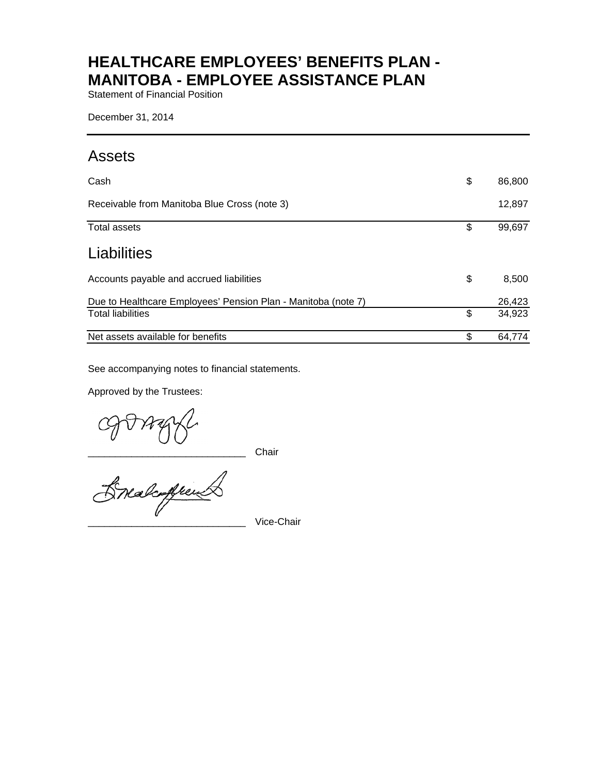Statement of Financial Position

December 31, 2014

### Assets

| Cash                                                          | \$<br>86,800 |
|---------------------------------------------------------------|--------------|
| Receivable from Manitoba Blue Cross (note 3)                  | 12,897       |
| <b>Total assets</b>                                           | \$<br>99,697 |
| Liabilities                                                   |              |
| Accounts payable and accrued liabilities                      | \$<br>8,500  |
| Due to Healthcare Employees' Pension Plan - Manitoba (note 7) | 26,423       |
| <b>Total liabilities</b>                                      | \$<br>34,923 |
| Net assets available for benefits                             | \$<br>64,774 |

See accompanying notes to financial statements.

Approved by the Trustees:

\_\_\_\_\_\_\_\_\_\_\_\_\_\_\_\_\_\_\_\_\_\_\_\_\_\_\_\_\_ Chair

Vice-Chair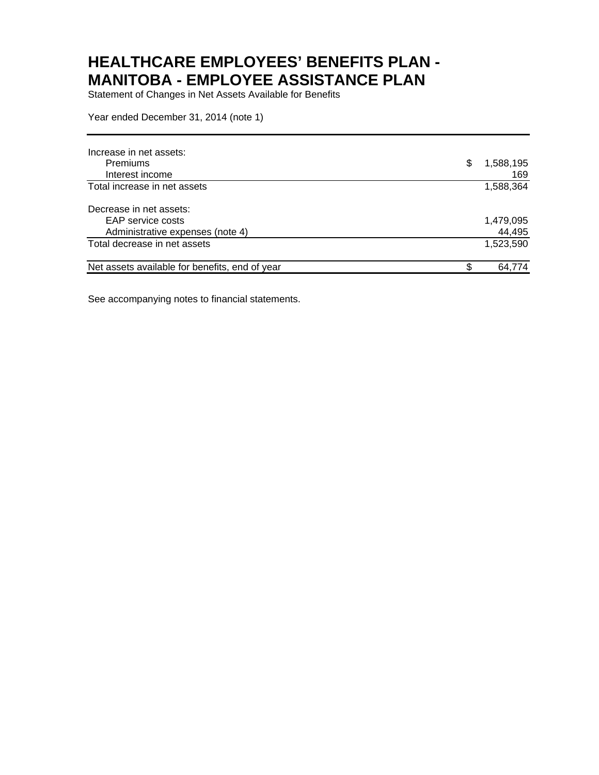Statement of Changes in Net Assets Available for Benefits

Year ended December 31, 2014 (note 1)

| Increase in net assets:<br><b>Premiums</b><br>Interest income    | \$ | 1,588,195<br>169    |
|------------------------------------------------------------------|----|---------------------|
| Total increase in net assets                                     |    | 1,588,364           |
| Decrease in net assets:<br>EAP service costs                     |    | 1,479,095           |
| Administrative expenses (note 4)<br>Total decrease in net assets |    | 44,495<br>1,523,590 |
|                                                                  | £. |                     |
| Net assets available for benefits, end of year                   |    | 64,774              |

See accompanying notes to financial statements.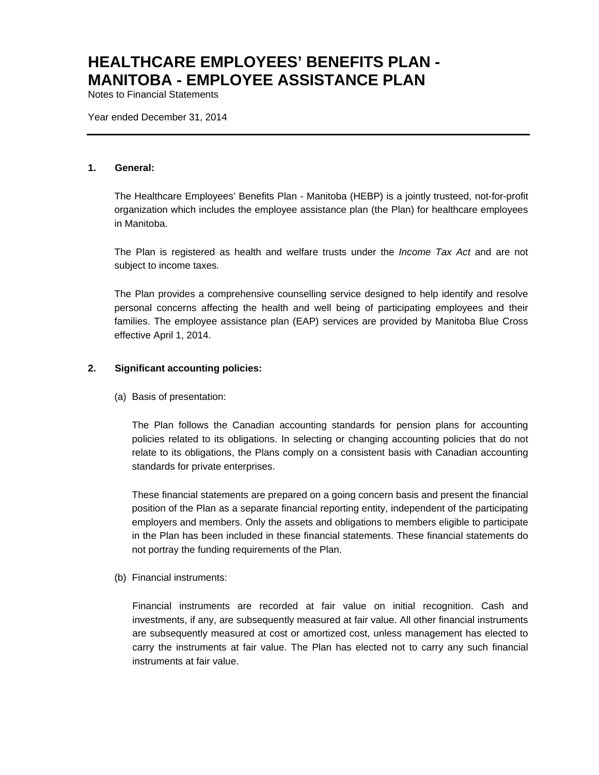Notes to Financial Statements

Year ended December 31, 2014

#### **1. General:**

The Healthcare Employees' Benefits Plan - Manitoba (HEBP) is a jointly trusteed, not-for-profit organization which includes the employee assistance plan (the Plan) for healthcare employees in Manitoba.

The Plan is registered as health and welfare trusts under the *Income Tax Act* and are not subject to income taxes*.*

The Plan provides a comprehensive counselling service designed to help identify and resolve personal concerns affecting the health and well being of participating employees and their families. The employee assistance plan (EAP) services are provided by Manitoba Blue Cross effective April 1, 2014.

#### **2. Significant accounting policies:**

(a) Basis of presentation:

The Plan follows the Canadian accounting standards for pension plans for accounting policies related to its obligations. In selecting or changing accounting policies that do not relate to its obligations, the Plans comply on a consistent basis with Canadian accounting standards for private enterprises.

These financial statements are prepared on a going concern basis and present the financial position of the Plan as a separate financial reporting entity, independent of the participating employers and members. Only the assets and obligations to members eligible to participate in the Plan has been included in these financial statements. These financial statements do not portray the funding requirements of the Plan.

(b) Financial instruments:

Financial instruments are recorded at fair value on initial recognition. Cash and investments, if any, are subsequently measured at fair value. All other financial instruments are subsequently measured at cost or amortized cost, unless management has elected to carry the instruments at fair value. The Plan has elected not to carry any such financial instruments at fair value.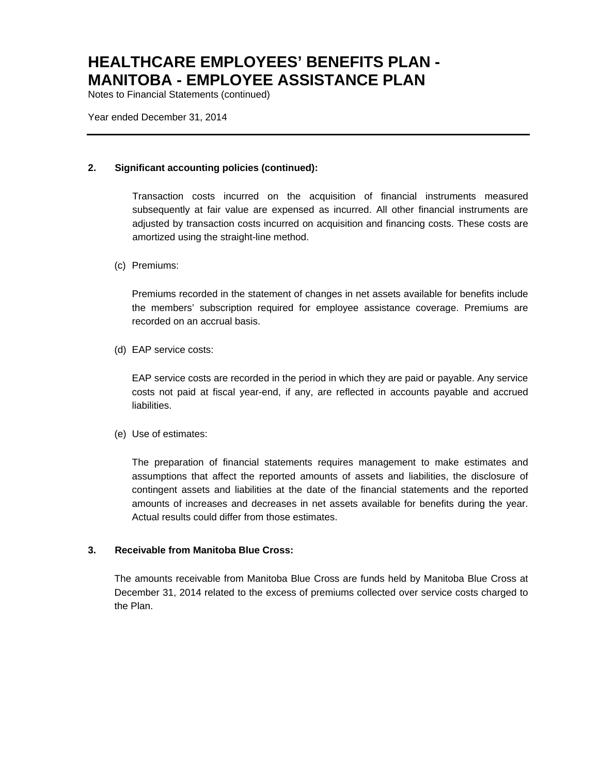Notes to Financial Statements (continued)

Year ended December 31, 2014

### **2. Significant accounting policies (continued):**

Transaction costs incurred on the acquisition of financial instruments measured subsequently at fair value are expensed as incurred. All other financial instruments are adjusted by transaction costs incurred on acquisition and financing costs. These costs are amortized using the straight-line method.

### (c) Premiums:

Premiums recorded in the statement of changes in net assets available for benefits include the members' subscription required for employee assistance coverage. Premiums are recorded on an accrual basis.

(d) EAP service costs:

EAP service costs are recorded in the period in which they are paid or payable. Any service costs not paid at fiscal year-end, if any, are reflected in accounts payable and accrued liabilities.

(e) Use of estimates:

The preparation of financial statements requires management to make estimates and assumptions that affect the reported amounts of assets and liabilities, the disclosure of contingent assets and liabilities at the date of the financial statements and the reported amounts of increases and decreases in net assets available for benefits during the year. Actual results could differ from those estimates.

#### **3. Receivable from Manitoba Blue Cross:**

The amounts receivable from Manitoba Blue Cross are funds held by Manitoba Blue Cross at December 31, 2014 related to the excess of premiums collected over service costs charged to the Plan.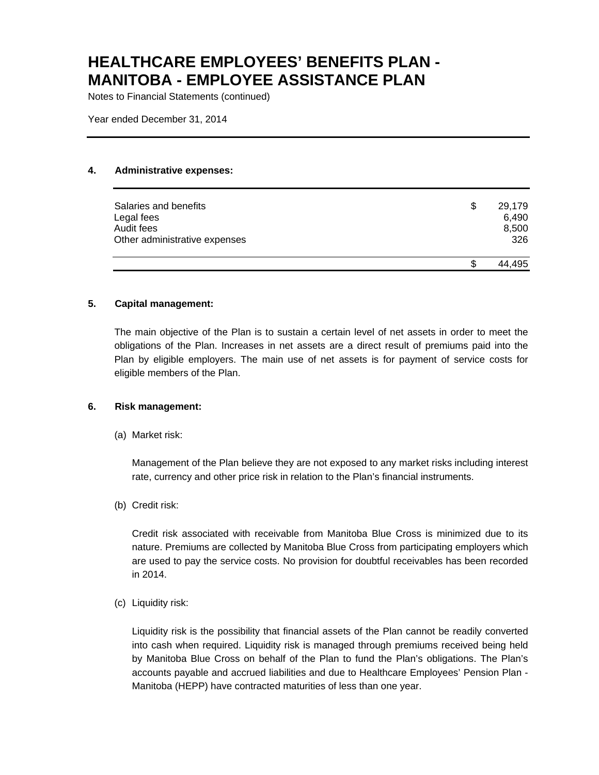Notes to Financial Statements (continued)

Year ended December 31, 2014

#### **4. Administrative expenses:**

| Salaries and benefits<br>Legal fees<br>Audit fees<br>Other administrative expenses | S | 29,179<br>6,490<br>8,500<br>326 |
|------------------------------------------------------------------------------------|---|---------------------------------|
|                                                                                    |   | 44.495                          |

#### **5. Capital management:**

The main objective of the Plan is to sustain a certain level of net assets in order to meet the obligations of the Plan. Increases in net assets are a direct result of premiums paid into the Plan by eligible employers. The main use of net assets is for payment of service costs for eligible members of the Plan.

#### **6. Risk management:**

(a) Market risk:

Management of the Plan believe they are not exposed to any market risks including interest rate, currency and other price risk in relation to the Plan's financial instruments.

(b) Credit risk:

Credit risk associated with receivable from Manitoba Blue Cross is minimized due to its nature. Premiums are collected by Manitoba Blue Cross from participating employers which are used to pay the service costs. No provision for doubtful receivables has been recorded in 2014.

(c) Liquidity risk:

Liquidity risk is the possibility that financial assets of the Plan cannot be readily converted into cash when required. Liquidity risk is managed through premiums received being held by Manitoba Blue Cross on behalf of the Plan to fund the Plan's obligations. The Plan's accounts payable and accrued liabilities and due to Healthcare Employees' Pension Plan - Manitoba (HEPP) have contracted maturities of less than one year.